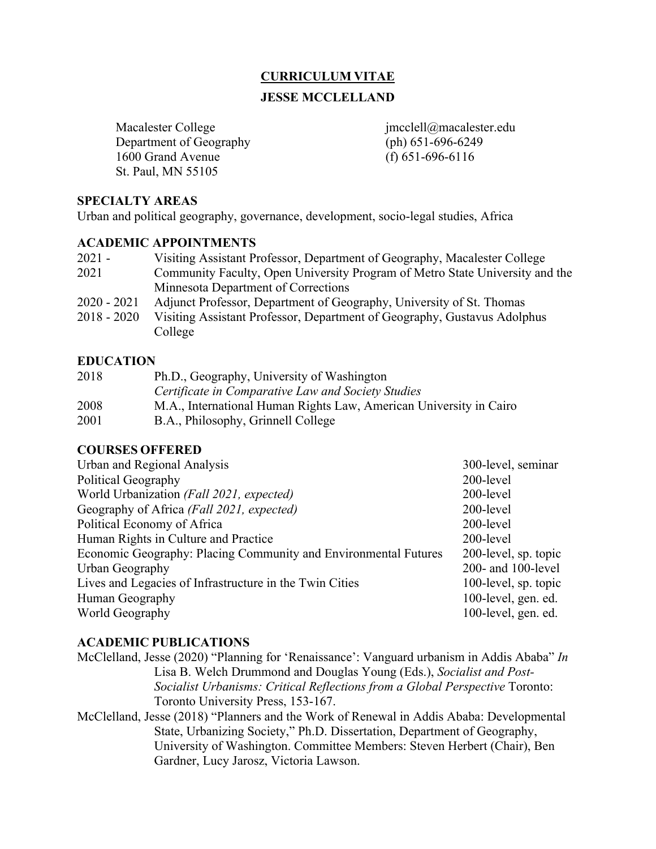### **CURRICULUM VITAE**

#### **JESSE MCCLELLAND**

Macalester College intervalse immediately imcclell@macalester.edu Department of Geography (ph) 651-696-6249 1600 Grand Avenue (f) 651-696-6116 St. Paul, MN 55105

#### **SPECIALTY AREAS**

Urban and political geography, governance, development, socio-legal studies, Africa

#### **ACADEMIC APPOINTMENTS**

| 2021 -      | Visiting Assistant Professor, Department of Geography, Macalester College    |
|-------------|------------------------------------------------------------------------------|
| 2021        | Community Faculty, Open University Program of Metro State University and the |
|             | Minnesota Department of Corrections                                          |
| 2020 - 2021 | Adjunct Professor, Department of Geography, University of St. Thomas         |
| 2018 - 2020 | Visiting Assistant Professor, Department of Geography, Gustavus Adolphus     |
|             | College                                                                      |

#### **EDUCATION**

| 2018 | Ph.D., Geography, University of Washington                         |
|------|--------------------------------------------------------------------|
|      | Certificate in Comparative Law and Society Studies                 |
| 2008 | M.A., International Human Rights Law, American University in Cairo |
| 2001 | B.A., Philosophy, Grinnell College                                 |

#### **COURSES OFFERED**

| Urban and Regional Analysis                                     | 300-level, seminar   |
|-----------------------------------------------------------------|----------------------|
| Political Geography                                             | 200-level            |
| World Urbanization (Fall 2021, expected)                        | 200-level            |
| Geography of Africa (Fall 2021, expected)                       | 200-level            |
| Political Economy of Africa                                     | 200-level            |
| Human Rights in Culture and Practice                            | 200-level            |
| Economic Geography: Placing Community and Environmental Futures | 200-level, sp. topic |
| Urban Geography                                                 | 200- and 100-level   |
| Lives and Legacies of Infrastructure in the Twin Cities         | 100-level, sp. topic |
| Human Geography                                                 | 100-level, gen. ed.  |
| World Geography                                                 | 100-level, gen. ed.  |

#### **ACADEMIC PUBLICATIONS**

- McClelland, Jesse (2020) "Planning for 'Renaissance': Vanguard urbanism in Addis Ababa" *In* Lisa B. Welch Drummond and Douglas Young (Eds.), *Socialist and Post-Socialist Urbanisms: Critical Reflections from a Global Perspective* Toronto: Toronto University Press, 153-167.
- McClelland, Jesse (2018) "Planners and the Work of Renewal in Addis Ababa: Developmental State, Urbanizing Society," Ph.D. Dissertation, Department of Geography, University of Washington. Committee Members: Steven Herbert (Chair), Ben Gardner, Lucy Jarosz, Victoria Lawson.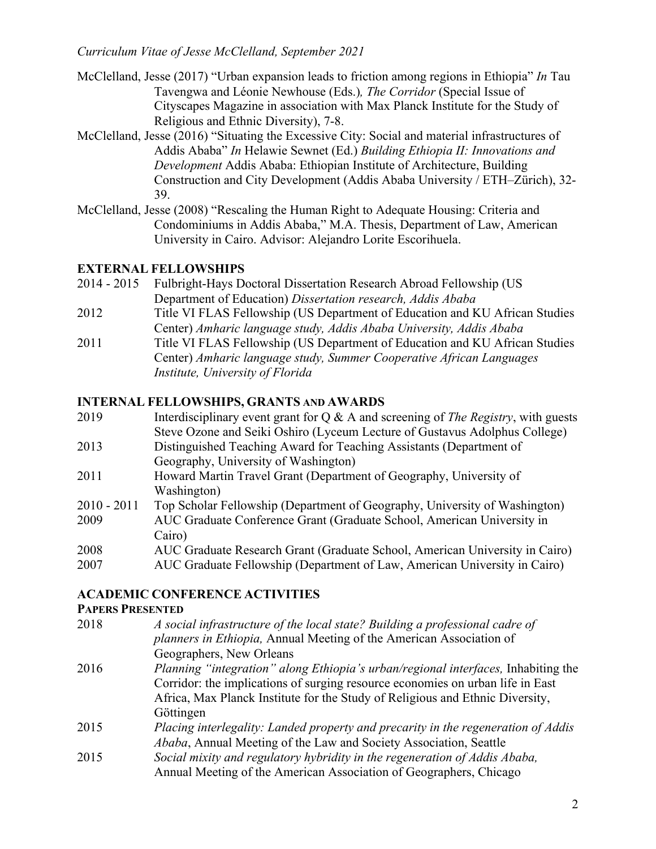- McClelland, Jesse (2017) "Urban expansion leads to friction among regions in Ethiopia" *In* Tau Tavengwa and Léonie Newhouse (Eds.)*, The Corridor* (Special Issue of Cityscapes Magazine in association with Max Planck Institute for the Study of Religious and Ethnic Diversity), 7-8.
- McClelland, Jesse (2016) "Situating the Excessive City: Social and material infrastructures of Addis Ababa" *In* Helawie Sewnet (Ed.) *Building Ethiopia II: Innovations and Development* Addis Ababa: Ethiopian Institute of Architecture, Building Construction and City Development (Addis Ababa University / ETH–Zürich), 32- 39.
- McClelland, Jesse (2008) "Rescaling the Human Right to Adequate Housing: Criteria and Condominiums in Addis Ababa," M.A. Thesis, Department of Law, American University in Cairo. Advisor: Alejandro Lorite Escorihuela.

# **EXTERNAL FELLOWSHIPS**

- 2014 2015 Fulbright-Hays Doctoral Dissertation Research Abroad Fellowship (US Department of Education) *Dissertation research, Addis Ababa*
- 2012 Title VI FLAS Fellowship (US Department of Education and KU African Studies Center) *Amharic language study, Addis Ababa University, Addis Ababa*
- 2011 Title VI FLAS Fellowship (US Department of Education and KU African Studies Center) *Amharic language study, Summer Cooperative African Languages Institute, University of Florida*

# **INTERNAL FELLOWSHIPS, GRANTS AND AWARDS**

| 2019          | Interdisciplinary event grant for $Q \& A$ and screening of <i>The Registry</i> , with guests |
|---------------|-----------------------------------------------------------------------------------------------|
|               | Steve Ozone and Seiki Oshiro (Lyceum Lecture of Gustavus Adolphus College)                    |
| 2013          | Distinguished Teaching Award for Teaching Assistants (Department of                           |
|               | Geography, University of Washington)                                                          |
| 2011          | Howard Martin Travel Grant (Department of Geography, University of                            |
|               | Washington)                                                                                   |
| $2010 - 2011$ | Top Scholar Fellowship (Department of Geography, University of Washington)                    |
| 2009          | AUC Graduate Conference Grant (Graduate School, American University in                        |
|               | Cairo)                                                                                        |
| 2008          | AUC Graduate Research Grant (Graduate School, American University in Cairo)                   |
| 2007          | AUC Graduate Fellowship (Department of Law, American University in Cairo)                     |

# **ACADEMIC CONFERENCE ACTIVITIES**

#### **PAPERS PRESENTED**

| 2018 | A social infrastructure of the local state? Building a professional cadre of             |
|------|------------------------------------------------------------------------------------------|
|      | planners in Ethiopia, Annual Meeting of the American Association of                      |
|      | Geographers, New Orleans                                                                 |
| 2016 | <i>Planning "integration" along Ethiopia's urban/regional interfaces, Inhabiting the</i> |
|      | Corridor: the implications of surging resource economies on urban life in East           |
|      | Africa, Max Planck Institute for the Study of Religious and Ethnic Diversity,            |
|      | Göttingen                                                                                |
| 2015 | Placing interlegality: Landed property and precarity in the regeneration of Addis        |
|      | Ababa, Annual Meeting of the Law and Society Association, Seattle                        |
| 2015 | Social mixity and regulatory hybridity in the regeneration of Addis Ababa,               |
|      | Annual Meeting of the American Association of Geographers, Chicago                       |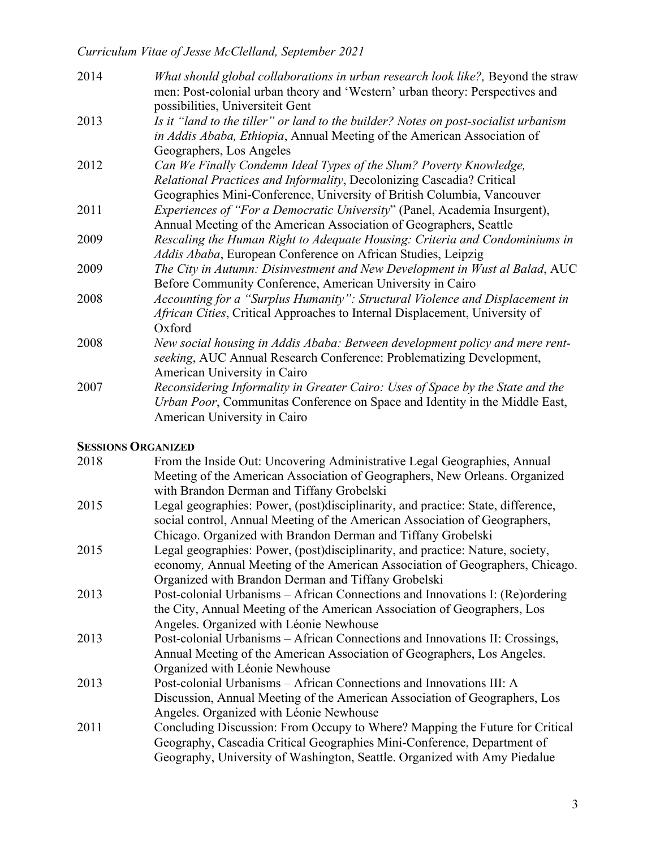*Curriculum Vitae of Jesse McClelland, September 2021*

| 2014 | What should global collaborations in urban research look like?, Beyond the straw<br>men: Post-colonial urban theory and 'Western' urban theory: Perspectives and<br>possibilities, Universiteit Gent |
|------|------------------------------------------------------------------------------------------------------------------------------------------------------------------------------------------------------|
| 2013 | Is it "land to the tiller" or land to the builder? Notes on post-socialist urbanism<br>in Addis Ababa, Ethiopia, Annual Meeting of the American Association of                                       |
|      | Geographers, Los Angeles                                                                                                                                                                             |
| 2012 | Can We Finally Condemn Ideal Types of the Slum? Poverty Knowledge,                                                                                                                                   |
|      | Relational Practices and Informality, Decolonizing Cascadia? Critical                                                                                                                                |
|      | Geographies Mini-Conference, University of British Columbia, Vancouver                                                                                                                               |
| 2011 | <i>Experiences of "For a Democratic University"</i> (Panel, Academia Insurgent),                                                                                                                     |
|      | Annual Meeting of the American Association of Geographers, Seattle                                                                                                                                   |
| 2009 | Rescaling the Human Right to Adequate Housing: Criteria and Condominiums in                                                                                                                          |
|      | Addis Ababa, European Conference on African Studies, Leipzig                                                                                                                                         |
| 2009 | The City in Autumn: Disinvestment and New Development in Wust al Balad, AUC                                                                                                                          |
|      | Before Community Conference, American University in Cairo                                                                                                                                            |
| 2008 | Accounting for a "Surplus Humanity": Structural Violence and Displacement in                                                                                                                         |
|      | African Cities, Critical Approaches to Internal Displacement, University of                                                                                                                          |
|      | Oxford                                                                                                                                                                                               |
| 2008 | New social housing in Addis Ababa: Between development policy and mere rent-                                                                                                                         |
|      | seeking, AUC Annual Research Conference: Problematizing Development,                                                                                                                                 |
|      | American University in Cairo                                                                                                                                                                         |
| 2007 | Reconsidering Informality in Greater Cairo: Uses of Space by the State and the                                                                                                                       |
|      | Urban Poor, Communitas Conference on Space and Identity in the Middle East,                                                                                                                          |
|      | American University in Cairo                                                                                                                                                                         |
|      |                                                                                                                                                                                                      |

# **SESSIONS ORGANIZED**

| 2018 | From the Inside Out: Uncovering Administrative Legal Geographies, Annual         |
|------|----------------------------------------------------------------------------------|
|      | Meeting of the American Association of Geographers, New Orleans. Organized       |
|      | with Brandon Derman and Tiffany Grobelski                                        |
| 2015 | Legal geographies: Power, (post)disciplinarity, and practice: State, difference, |
|      | social control, Annual Meeting of the American Association of Geographers,       |
|      | Chicago. Organized with Brandon Derman and Tiffany Grobelski                     |
| 2015 | Legal geographies: Power, (post)disciplinarity, and practice: Nature, society,   |
|      | economy, Annual Meeting of the American Association of Geographers, Chicago.     |
|      | Organized with Brandon Derman and Tiffany Grobelski                              |
| 2013 | Post-colonial Urbanisms – African Connections and Innovations I: (Re)ordering    |
|      | the City, Annual Meeting of the American Association of Geographers, Los         |
|      | Angeles. Organized with Léonie Newhouse                                          |
| 2013 | Post-colonial Urbanisms - African Connections and Innovations II: Crossings,     |
|      | Annual Meeting of the American Association of Geographers, Los Angeles.          |
|      | Organized with Léonie Newhouse                                                   |
| 2013 | Post-colonial Urbanisms – African Connections and Innovations III: A             |
|      | Discussion, Annual Meeting of the American Association of Geographers, Los       |
|      | Angeles. Organized with Léonie Newhouse                                          |
| 2011 | Concluding Discussion: From Occupy to Where? Mapping the Future for Critical     |
|      | Geography, Cascadia Critical Geographies Mini-Conference, Department of          |
|      | Geography, University of Washington, Seattle. Organized with Amy Piedalue        |
|      |                                                                                  |